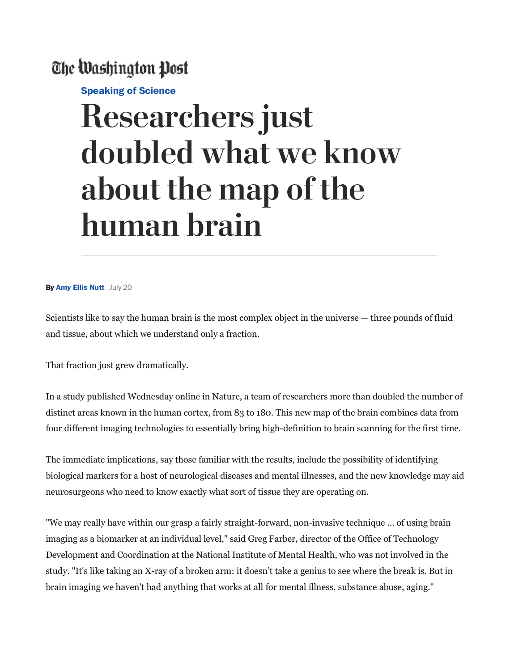## The Washington Post

**Speaking of Science**

## **Researchers just doubled what we know about the map of the human brain**

## **By Amy Ellis Nutt** July 20

Scientists like to say the human brain is the most complex object in the universe — three pounds of fluid and tissue, about which we understand only a fraction.

That fraction just grew dramatically.

In a study published Wednesday online in Nature, a team of researchers more than doubled the number of distinct areas known in the human cortex, from 83 to 180. This new map of the brain combines data from four different imaging technologies to essentially bring high-definition to brain scanning for the first time.

The immediate implications, say those familiar with the results, include the possibility of identifying biological markers for a host of neurological diseases and mental illnesses, and the new knowledge may aid neurosurgeons who need to know exactly what sort of tissue they are operating on.

"We may really have within our grasp a fairly straight-forward, non-invasive technique ... of using brain imaging as a biomarker at an individual level," said Greg Farber, director of the Office of Technology Development and Coordination at the National Institute of Mental Health, who was not involved in the study. "It's like taking an X-ray of a broken arm: it doesn't take a genius to see where the break is. But in brain imaging we haven't had anything that works at all for mental illness, substance abuse, aging."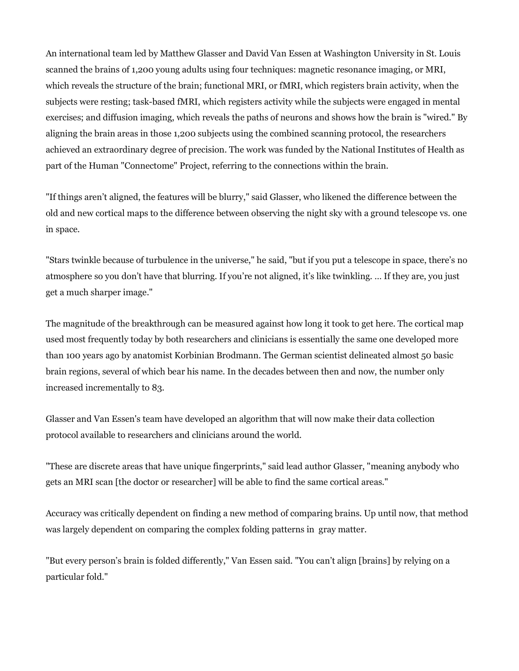An international team led by Matthew Glasser and David Van Essen at Washington University in St. Louis scanned the brains of 1,200 young adults using four techniques: magnetic resonance imaging, or MRI, which reveals the structure of the brain; functional MRI, or fMRI, which registers brain activity, when the subjects were resting; task-based fMRI, which registers activity while the subjects were engaged in mental exercises; and diffusion imaging, which reveals the paths of neurons and shows how the brain is "wired." By aligning the brain areas in those 1,200 subjects using the combined scanning protocol, the researchers achieved an extraordinary degree of precision. The work was funded by the National Institutes of Health as part of the Human "Connectome" Project, referring to the connections within the brain.

"If things aren't aligned, the features will be blurry," said Glasser, who likened the difference between the old and new cortical maps to the difference between observing the night sky with a ground telescope vs. one in space.

"Stars twinkle because of turbulence in the universe," he said, "but if you put a telescope in space, there's no atmosphere so you don't have that blurring. If you're not aligned, it's like twinkling. … If they are, you just get a much sharper image."

The magnitude of the breakthrough can be measured against how long it took to get here. The cortical map used most frequently today by both researchers and clinicians is essentially the same one developed more than 100 years ago by anatomist Korbinian Brodmann. The German scientist delineated almost 50 basic brain regions, several of which bear his name. In the decades between then and now, the number only increased incrementally to 83.

Glasser and Van Essen's team have developed an algorithm that will now make their data collection protocol available to researchers and clinicians around the world.

"These are discrete areas that have unique fingerprints," said lead author Glasser, "meaning anybody who gets an MRI scan [the doctor or researcher] will be able to find the same cortical areas."

AAccuracy was critically dependent on finding a new method of comparing brains. Up until now, that method was largely dependent on comparing the complex folding patterns in gray matter.

"But every person's brain is folded differently," Van Essen said. "You can't align [brains] by relying on a particular fold."